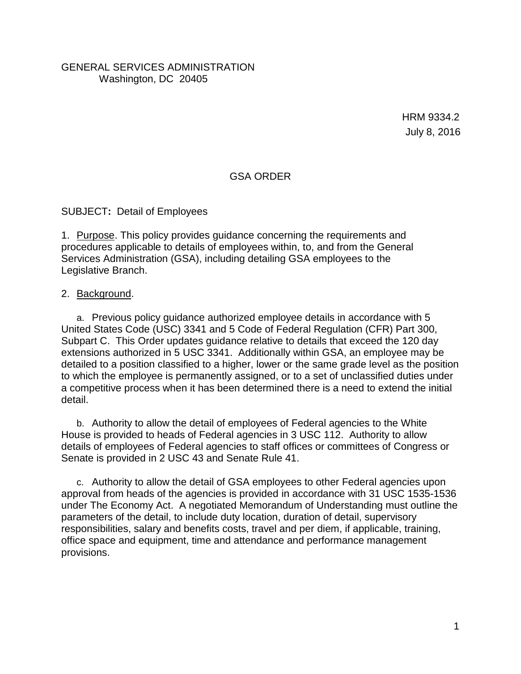#### GENERAL SERVICES ADMINISTRATION Washington, DC 20405

HRM 9334.2 July 8, 2016

### GSA ORDER

SUBJECT**:** Detail of Employees

1. Purpose. This policy provides guidance concerning the requirements and procedures applicable to details of employees within, to, and from the General Services Administration (GSA), including detailing GSA employees to the Legislative Branch.

#### 2. Background.

a. Previous policy guidance authorized employee details in accordance with 5 United States Code (USC) 3341 and 5 Code of Federal Regulation (CFR) Part 300, Subpart C. This Order updates guidance relative to details that exceed the 120 day extensions authorized in 5 USC 3341. Additionally within GSA, an employee may be detailed to a position classified to a higher, lower or the same grade level as the position to which the employee is permanently assigned, or to a set of unclassified duties under a competitive process when it has been determined there is a need to extend the initial detail.

b. Authority to allow the detail of employees of Federal agencies to the White House is provided to heads of Federal agencies in 3 USC 112. Authority to allow details of employees of Federal agencies to staff offices or committees of Congress or Senate is provided in 2 USC 43 and Senate Rule 41.

c. Authority to allow the detail of GSA employees to other Federal agencies upon approval from heads of the agencies is provided in accordance with 31 USC 1535-1536 under The Economy Act. A negotiated Memorandum of Understanding must outline the parameters of the detail, to include duty location, duration of detail, supervisory responsibilities, salary and benefits costs, travel and per diem, if applicable, training, office space and equipment, time and attendance and performance management provisions.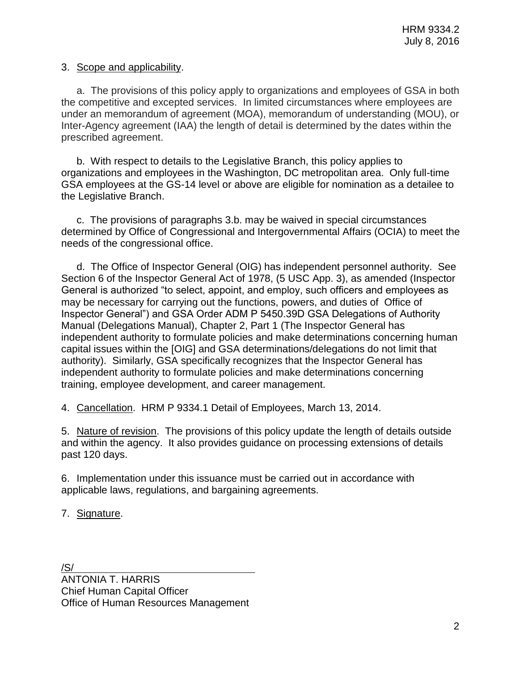#### 3. Scope and applicability.

a. The provisions of this policy apply to organizations and employees of GSA in both the competitive and excepted services. In limited circumstances where employees are under an memorandum of agreement (MOA), memorandum of understanding (MOU), or Inter-Agency agreement (IAA) the length of detail is determined by the dates within the prescribed agreement.

b. With respect to details to the Legislative Branch, this policy applies to organizations and employees in the Washington, DC metropolitan area. Only full-time GSA employees at the GS-14 level or above are eligible for nomination as a detailee to the Legislative Branch.

c. The provisions of paragraphs 3.b. may be waived in special circumstances determined by Office of Congressional and Intergovernmental Affairs (OCIA) to meet the needs of the congressional office.

d. The Office of Inspector General (OIG) has independent personnel authority. See Section 6 of the Inspector General Act of 1978, (5 USC App. 3), as amended (Inspector General is authorized "to select, appoint, and employ, such officers and employees as may be necessary for carrying out the functions, powers, and duties of Office of Inspector General") and GSA Order ADM P 5450.39D GSA Delegations of Authority Manual (Delegations Manual), Chapter 2, Part 1 (The Inspector General has independent authority to formulate policies and make determinations concerning human capital issues within the [OIG] and GSA determinations/delegations do not limit that authority). Similarly, GSA specifically recognizes that the Inspector General has independent authority to formulate policies and make determinations concerning training, employee development, and career management.

4. Cancellation. HRM P 9334.1 Detail of Employees, March 13, 2014.

5. Nature of revision. The provisions of this policy update the length of details outside and within the agency. It also provides guidance on processing extensions of details past 120 days.

6. Implementation under this issuance must be carried out in accordance with applicable laws, regulations, and bargaining agreements.

7. Signature.

/S/ ANTONIA T. HARRIS Chief Human Capital Officer Office of Human Resources Management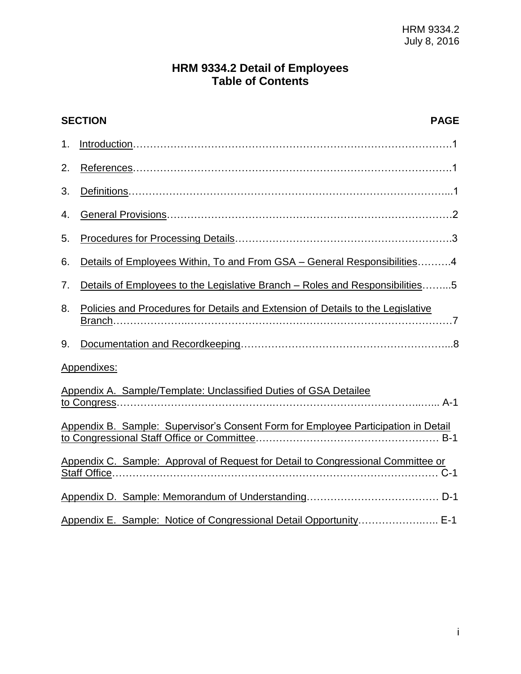# **HRM 9334.2 Detail of Employees Table of Contents**

| <b>SECTION</b><br><b>PAGE</b>                                                      |                                                                                 |
|------------------------------------------------------------------------------------|---------------------------------------------------------------------------------|
| 1.                                                                                 |                                                                                 |
| 2.                                                                                 |                                                                                 |
| 3.                                                                                 |                                                                                 |
| 4.                                                                                 |                                                                                 |
| 5.                                                                                 |                                                                                 |
| 6.                                                                                 | Details of Employees Within, To and From GSA – General Responsibilities4        |
| 7.                                                                                 | Details of Employees to the Legislative Branch - Roles and Responsibilities5    |
| 8.                                                                                 | Policies and Procedures for Details and Extension of Details to the Legislative |
| 9.                                                                                 |                                                                                 |
| Appendixes:                                                                        |                                                                                 |
| Appendix A. Sample/Template: Unclassified Duties of GSA Detailee                   |                                                                                 |
| Appendix B. Sample: Supervisor's Consent Form for Employee Participation in Detail |                                                                                 |
| Appendix C. Sample: Approval of Request for Detail to Congressional Committee or   |                                                                                 |
|                                                                                    |                                                                                 |
|                                                                                    | Appendix E. Sample: Notice of Congressional Detail Opportunity E-1              |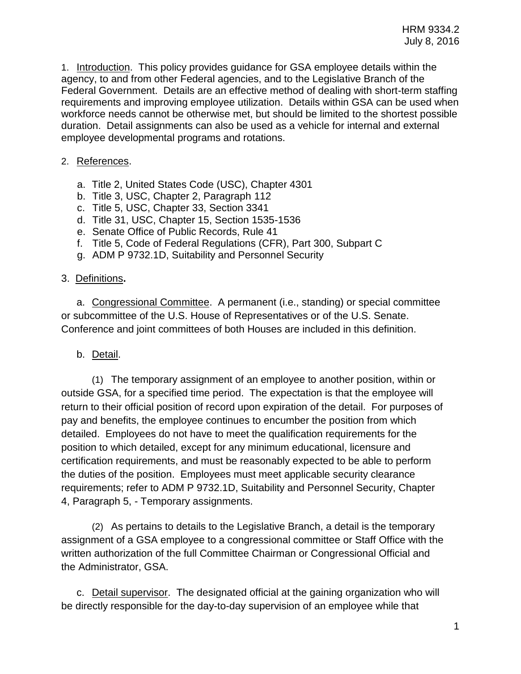1. Introduction.This policy provides guidance for GSA employee details within the agency, to and from other Federal agencies, and to the Legislative Branch of the Federal Government. Details are an effective method of dealing with short-term staffing requirements and improving employee utilization. Details within GSA can be used when workforce needs cannot be otherwise met, but should be limited to the shortest possible duration. Detail assignments can also be used as a vehicle for internal and external employee developmental programs and rotations.

# 2. References.

- a. Title 2, United States Code (USC), Chapter 4301
- b. Title 3, USC, Chapter 2, Paragraph 112
- c. Title 5, USC, Chapter 33, Section 3341
- d. Title 31, USC, Chapter 15, Section 1535-1536
- e. Senate Office of Public Records, Rule 41
- f. Title 5, Code of Federal Regulations (CFR), Part 300, Subpart C
- g. ADM P 9732.1D, Suitability and Personnel Security

### 3. Definitions**.**

a. Congressional Committee. A permanent (i.e., standing) or special committee or subcommittee of the U.S. House of Representatives or of the U.S. Senate. Conference and joint committees of both Houses are included in this definition.

# b. Detail.

(1) The temporary assignment of an employee to another position, within or outside GSA, for a specified time period. The expectation is that the employee will return to their official position of record upon expiration of the detail. For purposes of pay and benefits, the employee continues to encumber the position from which detailed. Employees do not have to meet the qualification requirements for the position to which detailed, except for any minimum educational, licensure and certification requirements, and must be reasonably expected to be able to perform the duties of the position. Employees must meet applicable security clearance requirements; refer to ADM P 9732.1D, Suitability and Personnel Security, Chapter 4, Paragraph 5, - Temporary assignments.

(2) As pertains to details to the Legislative Branch, a detail is the temporary assignment of a GSA employee to a congressional committee or Staff Office with the written authorization of the full Committee Chairman or Congressional Official and the Administrator, GSA.

c. Detail supervisor. The designated official at the gaining organization who will be directly responsible for the day-to-day supervision of an employee while that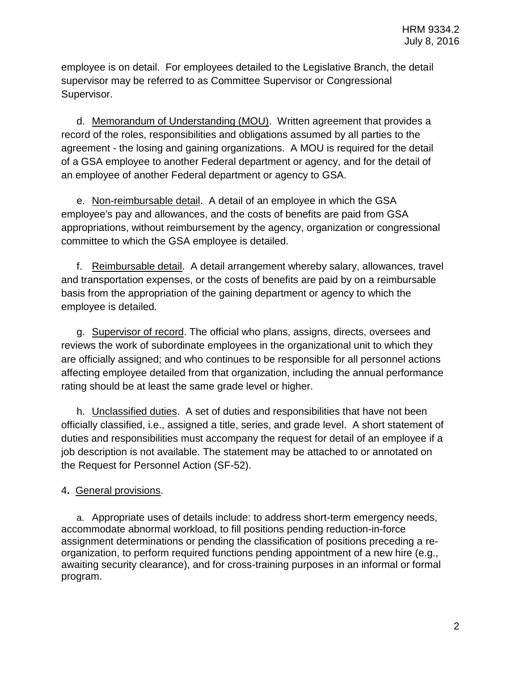employee is on detail. For employees detailed to the Legislative Branch, the detail supervisor may be referred to as Committee Supervisor or Congressional Supervisor.

d. Memorandum of Understanding (MOU). Written agreement that provides a record of the roles, responsibilities and obligations assumed by all parties to the agreement - the losing and gaining organizations. A MOU is required for the detail of a GSA employee to another Federal department or agency, and for the detail of an employee of another Federal department or agency to GSA.

e. Non-reimbursable detail. A detail of an employee in which the GSA employee's pay and allowances, and the costs of benefits are paid from GSA appropriations, without reimbursement by the agency, organization or congressional committee to which the GSA employee is detailed.

f. Reimbursable detail. A detail arrangement whereby salary, allowances, travel and transportation expenses, or the costs of benefits are paid by on a reimbursable basis from the appropriation of the gaining department or agency to which the employee is detailed.

g. Supervisor of record. The official who plans, assigns, directs, oversees and reviews the work of subordinate employees in the organizational unit to which they are officially assigned; and who continues to be responsible for all personnel actions affecting employee detailed from that organization, including the annual performance rating should be at least the same grade level or higher.

h. Unclassified duties. A set of duties and responsibilities that have not been officially classified, i.e., assigned a title, series, and grade level. A short statement of duties and responsibilities must accompany the request for detail of an employee if a job description is not available. The statement may be attached to or annotated on the Request for Personnel Action (SF-52).

# 4**.** General provisions.

a. Appropriate uses of details include: to address short-term emergency needs, accommodate abnormal workload, to fill positions pending reduction-in-force assignment determinations or pending the classification of positions preceding a reorganization, to perform required functions pending appointment of a new hire (e.g., awaiting security clearance), and for cross-training purposes in an informal or formal program.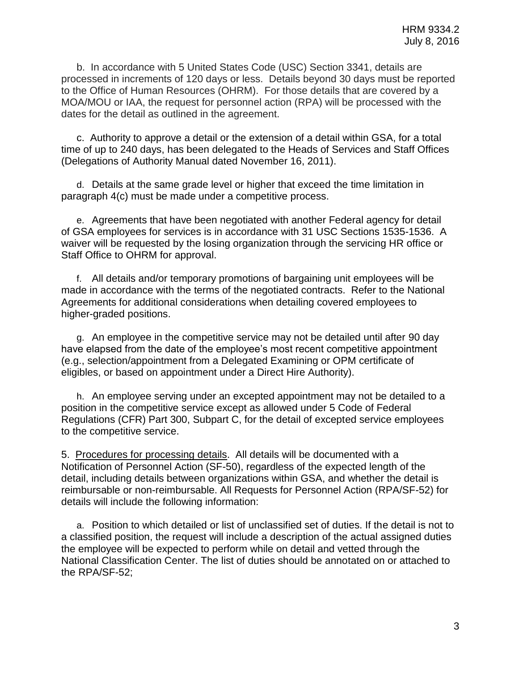b. In accordance with 5 United States Code (USC) Section 3341, details are processed in increments of 120 days or less. Details beyond 30 days must be reported to the Office of Human Resources (OHRM). For those details that are covered by a MOA/MOU or IAA, the request for personnel action (RPA) will be processed with the dates for the detail as outlined in the agreement.

c. Authority to approve a detail or the extension of a detail within GSA, for a total time of up to 240 days, has been delegated to the Heads of Services and Staff Offices (Delegations of Authority Manual dated November 16, 2011).

d. Details at the same grade level or higher that exceed the time limitation in paragraph 4(c) must be made under a competitive process.

e. Agreements that have been negotiated with another Federal agency for detail of GSA employees for services is in accordance with 31 USC Sections 1535-1536. A waiver will be requested by the losing organization through the servicing HR office or Staff Office to OHRM for approval.

f. All details and/or temporary promotions of bargaining unit employees will be made in accordance with the terms of the negotiated contracts. Refer to the National Agreements for additional considerations when detailing covered employees to higher-graded positions.

g. An employee in the competitive service may not be detailed until after 90 day have elapsed from the date of the employee's most recent competitive appointment (e.g., selection/appointment from a Delegated Examining or OPM certificate of eligibles, or based on appointment under a Direct Hire Authority).

h. An employee serving under an excepted appointment may not be detailed to a position in the competitive service except as allowed under 5 Code of Federal Regulations (CFR) Part 300, Subpart C, for the detail of excepted service employees to the competitive service.

5. Procedures for processing details.All details will be documented with a Notification of Personnel Action (SF-50), regardless of the expected length of the detail, including details between organizations within GSA, and whether the detail is reimbursable or non-reimbursable. All Requests for Personnel Action (RPA/SF-52) for details will include the following information:

a. Position to which detailed or list of unclassified set of duties. If the detail is not to a classified position, the request will include a description of the actual assigned duties the employee will be expected to perform while on detail and vetted through the National Classification Center. The list of duties should be annotated on or attached to the RPA/SF-52;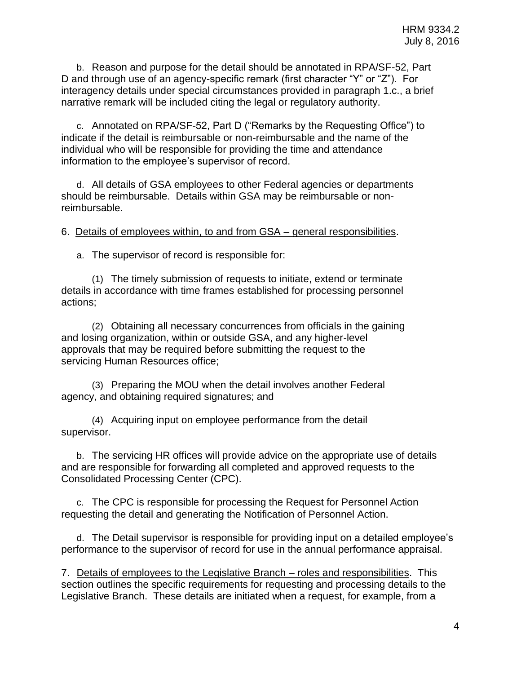b. Reason and purpose for the detail should be annotated in RPA/SF-52, Part D and through use of an agency-specific remark (first character "Y" or "Z"). For interagency details under special circumstances provided in paragraph 1.c., a brief narrative remark will be included citing the legal or regulatory authority.

c. Annotated on RPA/SF-52, Part D ("Remarks by the Requesting Office") to indicate if the detail is reimbursable or non-reimbursable and the name of the individual who will be responsible for providing the time and attendance information to the employee's supervisor of record.

d. All details of GSA employees to other Federal agencies or departments should be reimbursable. Details within GSA may be reimbursable or nonreimbursable.

6.Details of employees within, to and from GSA – general responsibilities.

a. The supervisor of record is responsible for:

(1) The timely submission of requests to initiate, extend or terminate details in accordance with time frames established for processing personnel actions;

(2) Obtaining all necessary concurrences from officials in the gaining and losing organization, within or outside GSA, and any higher-level approvals that may be required before submitting the request to the servicing Human Resources office;

(3) Preparing the MOU when the detail involves another Federal agency, and obtaining required signatures; and

(4) Acquiring input on employee performance from the detail supervisor.

b. The servicing HR offices will provide advice on the appropriate use of details and are responsible for forwarding all completed and approved requests to the Consolidated Processing Center (CPC).

c. The CPC is responsible for processing the Request for Personnel Action requesting the detail and generating the Notification of Personnel Action.

d. The Detail supervisor is responsible for providing input on a detailed employee's performance to the supervisor of record for use in the annual performance appraisal.

7. Details of employees to the Legislative Branch – roles and responsibilities.This section outlines the specific requirements for requesting and processing details to the Legislative Branch. These details are initiated when a request, for example, from a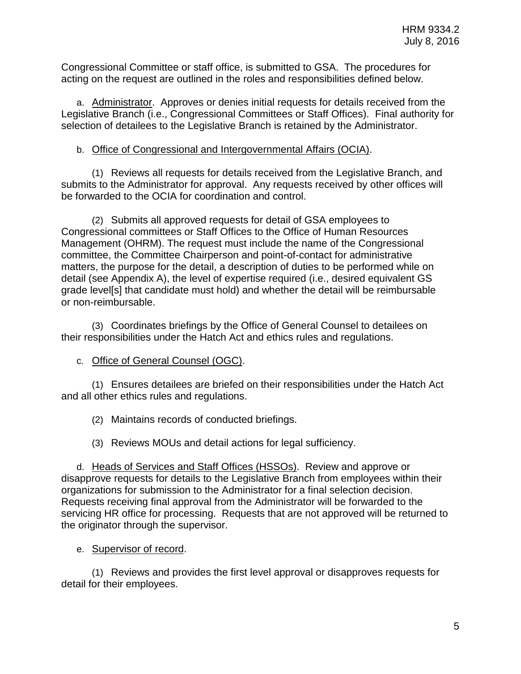Congressional Committee or staff office, is submitted to GSA. The procedures for acting on the request are outlined in the roles and responsibilities defined below.

a. Administrator. Approves or denies initial requests for details received from the Legislative Branch (i.e., Congressional Committees or Staff Offices). Final authority for selection of detailees to the Legislative Branch is retained by the Administrator.

### b. Office of Congressional and Intergovernmental Affairs (OCIA).

(1) Reviews all requests for details received from the Legislative Branch, and submits to the Administrator for approval. Any requests received by other offices will be forwarded to the OCIA for coordination and control.

(2) Submits all approved requests for detail of GSA employees to Congressional committees or Staff Offices to the Office of Human Resources Management (OHRM). The request must include the name of the Congressional committee, the Committee Chairperson and point-of-contact for administrative matters, the purpose for the detail, a description of duties to be performed while on detail (see Appendix A), the level of expertise required (i.e., desired equivalent GS grade level[s] that candidate must hold) and whether the detail will be reimbursable or non-reimbursable.

(3) Coordinates briefings by the Office of General Counsel to detailees on their responsibilities under the Hatch Act and ethics rules and regulations.

c. Office of General Counsel (OGC).

(1) Ensures detailees are briefed on their responsibilities under the Hatch Act and all other ethics rules and regulations.

(2) Maintains records of conducted briefings.

(3) Reviews MOUs and detail actions for legal sufficiency.

d. Heads of Services and Staff Offices (HSSOs). Review and approve or disapprove requests for details to the Legislative Branch from employees within their organizations for submission to the Administrator for a final selection decision. Requests receiving final approval from the Administrator will be forwarded to the servicing HR office for processing. Requests that are not approved will be returned to the originator through the supervisor.

e. Supervisor of record.

(1) Reviews and provides the first level approval or disapproves requests for detail for their employees.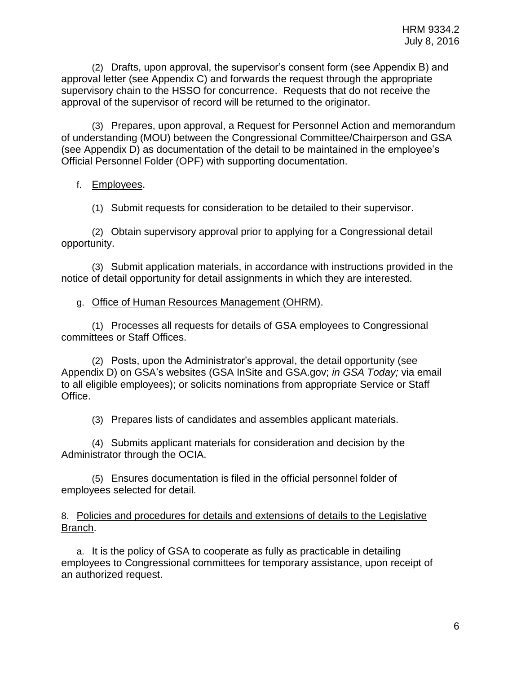(2) Drafts, upon approval, the supervisor's consent form (see Appendix B) and approval letter (see Appendix C) and forwards the request through the appropriate supervisory chain to the HSSO for concurrence. Requests that do not receive the approval of the supervisor of record will be returned to the originator.

(3) Prepares, upon approval, a Request for Personnel Action and memorandum of understanding (MOU) between the Congressional Committee/Chairperson and GSA (see Appendix D) as documentation of the detail to be maintained in the employee's Official Personnel Folder (OPF) with supporting documentation.

### f. Employees.

(1) Submit requests for consideration to be detailed to their supervisor.

(2) Obtain supervisory approval prior to applying for a Congressional detail opportunity.

(3) Submit application materials, in accordance with instructions provided in the notice of detail opportunity for detail assignments in which they are interested.

#### g. Office of Human Resources Management (OHRM).

(1) Processes all requests for details of GSA employees to Congressional committees or Staff Offices.

(2) Posts, upon the Administrator's approval, the detail opportunity (see Appendix D) on GSA's websites (GSA InSite and GSA.gov; *in GSA Today;* via email to all eligible employees); or solicits nominations from appropriate Service or Staff Office.

(3) Prepares lists of candidates and assembles applicant materials.

(4) Submits applicant materials for consideration and decision by the Administrator through the OCIA.

(5) Ensures documentation is filed in the official personnel folder of employees selected for detail.

<span id="page-8-0"></span>8. Policies and procedures for details and extensions of details to the Legislative Branch.

a. It is the policy of GSA to cooperate as fully as practicable in detailing employees to Congressional committees for temporary assistance, upon receipt of an authorized request.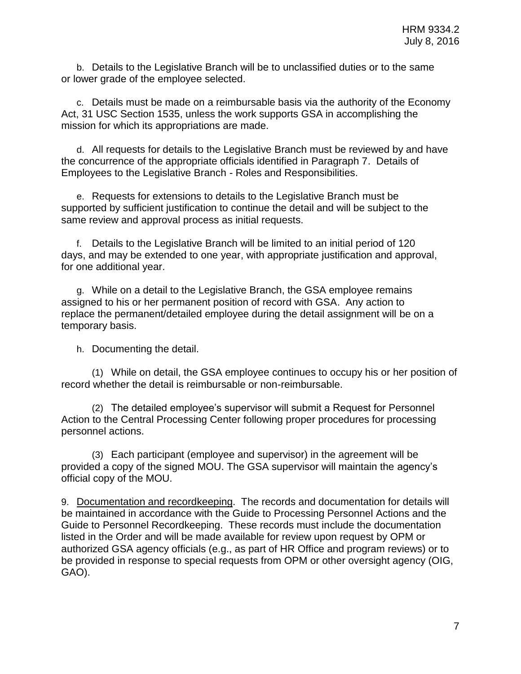b. Details to the Legislative Branch will be to unclassified duties or to the same or lower grade of the employee selected.

c. Details must be made on a reimbursable basis via the authority of the Economy Act, 31 USC Section 1535, unless the work supports GSA in accomplishing the mission for which its appropriations are made.

d. All requests for details to the Legislative Branch must be reviewed by and have the concurrence of the appropriate officials identified in Paragraph 7. Details of Employees to the Legislative Branch - Roles and Responsibilities.

e. Requests for extensions to details to the Legislative Branch must be supported by sufficient justification to continue the detail and will be subject to the same review and approval process as initial requests.

f. Details to the Legislative Branch will be limited to an initial period of 120 days, and may be extended to one year, with appropriate justification and approval, for one additional year.

g. While on a detail to the Legislative Branch, the GSA employee remains assigned to his or her permanent position of record with GSA. Any action to replace the permanent/detailed employee during the detail assignment will be on a temporary basis.

h. Documenting the detail.

(1) While on detail, the GSA employee continues to occupy his or her position of record whether the detail is reimbursable or non-reimbursable.

(2) The detailed employee's supervisor will submit a Request for Personnel Action to the Central Processing Center following proper procedures for processing personnel actions.

(3) Each participant (employee and supervisor) in the agreement will be provided a copy of the signed MOU. The GSA supervisor will maintain the agency's official copy of the MOU.

9. Documentation and recordkeeping. The records and documentation for details will be maintained in accordance with the Guide to Processing Personnel Actions and the Guide to Personnel Recordkeeping. These records must include the documentation listed in the Order and will be made available for review upon request by OPM or authorized GSA agency officials (e.g., as part of HR Office and program reviews) or to be provided in response to special requests from OPM or other oversight agency (OIG, GAO).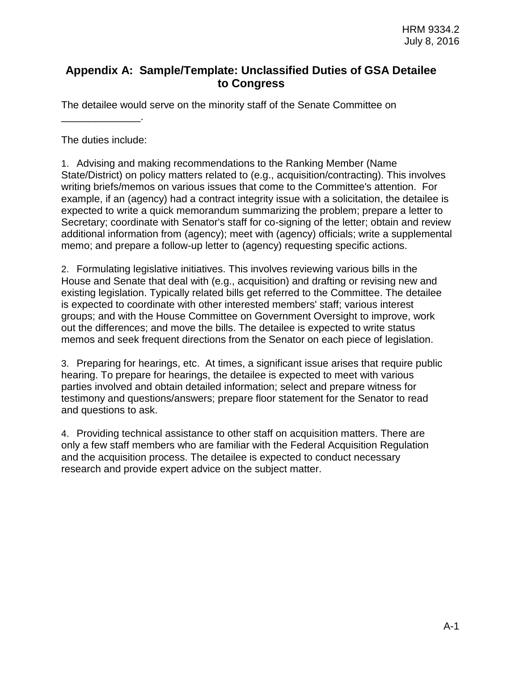# **Appendix A: Sample/Template: Unclassified Duties of GSA Detailee to Congress**

The detailee would serve on the minority staff of the Senate Committee on

The duties include:

\_\_\_\_\_\_\_\_\_\_\_\_\_\_.

1. Advising and making recommendations to the Ranking Member (Name State/District) on policy matters related to (e.g., acquisition/contracting). This involves writing briefs/memos on various issues that come to the Committee's attention. For example, if an (agency) had a contract integrity issue with a solicitation, the detailee is expected to write a quick memorandum summarizing the problem; prepare a letter to Secretary; coordinate with Senator's staff for co-signing of the letter; obtain and review additional information from (agency); meet with (agency) officials; write a supplemental memo; and prepare a follow-up letter to (agency) requesting specific actions.

2. Formulating legislative initiatives. This involves reviewing various bills in the House and Senate that deal with (e.g., acquisition) and drafting or revising new and existing legislation. Typically related bills get referred to the Committee. The detailee is expected to coordinate with other interested members' staff; various interest groups; and with the House Committee on Government Oversight to improve, work out the differences; and move the bills. The detailee is expected to write status memos and seek frequent directions from the Senator on each piece of legislation.

3. Preparing for hearings, etc. At times, a significant issue arises that require public hearing. To prepare for hearings, the detailee is expected to meet with various parties involved and obtain detailed information; select and prepare witness for testimony and questions/answers; prepare floor statement for the Senator to read and questions to ask.

4. Providing technical assistance to other staff on acquisition matters. There are only a few staff members who are familiar with the Federal Acquisition Regulation and the acquisition process. The detailee is expected to conduct necessary research and provide expert advice on the subject matter.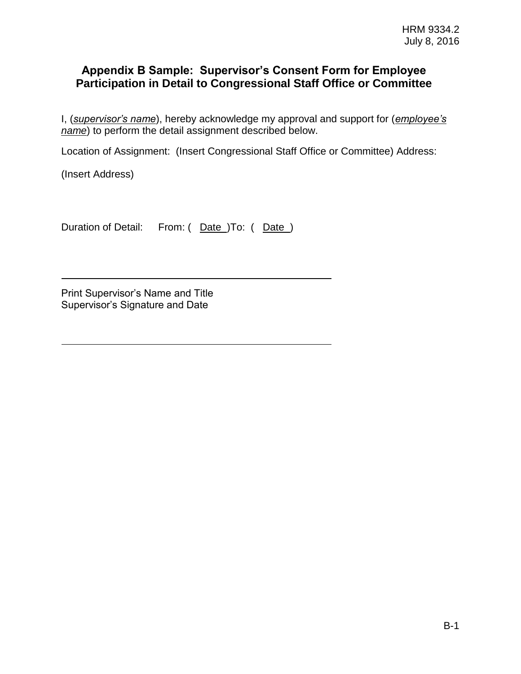# **Appendix B Sample: Supervisor's Consent Form for Employee Participation in Detail to Congressional Staff Office or Committee**

I, (*supervisor's name*), hereby acknowledge my approval and support for (*employee's name*) to perform the detail assignment described below.

Location of Assignment: (Insert Congressional Staff Office or Committee) Address:

(Insert Address)

Duration of Detail: From: ( Date )To: ( Date )

Print Supervisor's Name and Title Supervisor's Signature and Date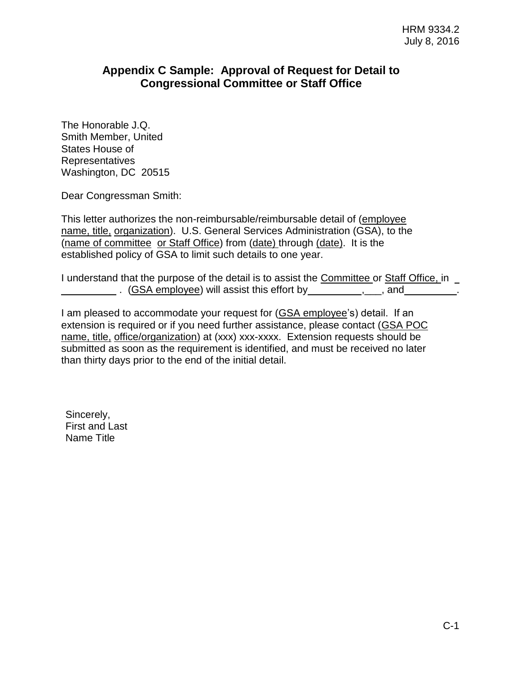# **Appendix C Sample: Approval of Request for Detail to Congressional Committee or Staff Office**

The Honorable J.Q. Smith Member, United States House of Representatives Washington, DC 20515

Dear Congressman Smith:

This letter authorizes the non-reimbursable/reimbursable detail of (employee name, title, organization). U.S. General Services Administration (GSA), to the (name of committee or Staff Office) from (date) through (date). It is the established policy of GSA to limit such details to one year.

I understand that the purpose of the detail is to assist the Committee or Staff Office, in . (GSA employee) will assist this effort by ,\_\_\_, and .

I am pleased to accommodate your request for (GSA employee's) detail. If an extension is required or if you need further assistance, please contact (GSA POC name, title, office/organization) at (xxx) xxx-xxxx. Extension requests should be submitted as soon as the requirement is identified, and must be received no later than thirty days prior to the end of the initial detail.

Sincerely, First and Last Name Title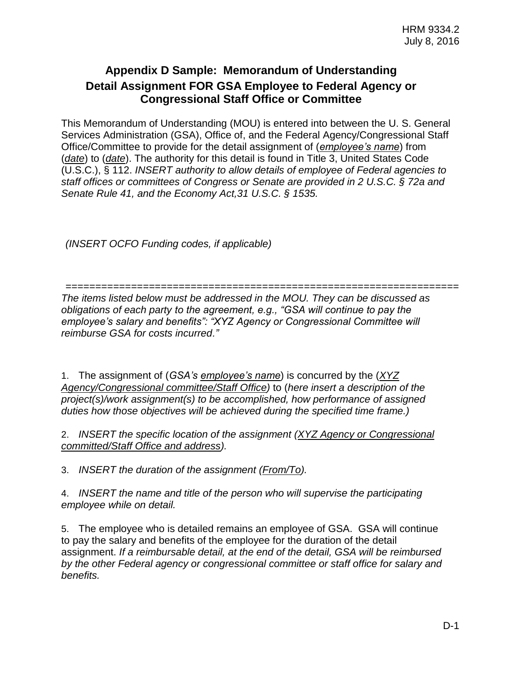# **Appendix D Sample: Memorandum of Understanding Detail Assignment FOR GSA Employee to Federal Agency or Congressional Staff Office or Committee**

This Memorandum of Understanding (MOU) is entered into between the U. S. General Services Administration (GSA), Office of, and the Federal Agency/Congressional Staff Office/Committee to provide for the detail assignment of (*employee's name*) from (*date*) to (*date*). The authority for this detail is found in Title 3, United States Code (U.S.C.), § 112. *INSERT authority to allow details of employee of Federal agencies to staff offices or committees of Congress or Senate are provided in 2 U.S.C. § 72a and Senate Rule 41, and the Economy Act,31 U.S.C. § 1535.*

*(INSERT OCFO Funding codes, if applicable)*

==================================================================

*The items listed below must be addressed in the MOU. They can be discussed as obligations of each party to the agreement, e.g., "GSA will continue to pay the employee's salary and benefits": "XYZ Agency or Congressional Committee will reimburse GSA for costs incurred."*

1. The assignment of (*GSA's employee's name*) is concurred by the (*XYZ Agency/Congressional committee/Staff Office)* to (*here insert a description of the project(s)/work assignment(s) to be accomplished, how performance of assigned duties how those objectives will be achieved during the specified time frame.)*

2. *INSERT the specific location of the assignment (XYZ Agency or Congressional committed/Staff Office and address).*

3. *INSERT the duration of the assignment (From/To).*

4. *INSERT the name and title of the person who will supervise the participating employee while on detail.*

5. The employee who is detailed remains an employee of GSA. GSA will continue to pay the salary and benefits of the employee for the duration of the detail assignment. *If a reimbursable detail, at the end of the detail, GSA will be reimbursed by the other Federal agency or congressional committee or staff office for salary and benefits.*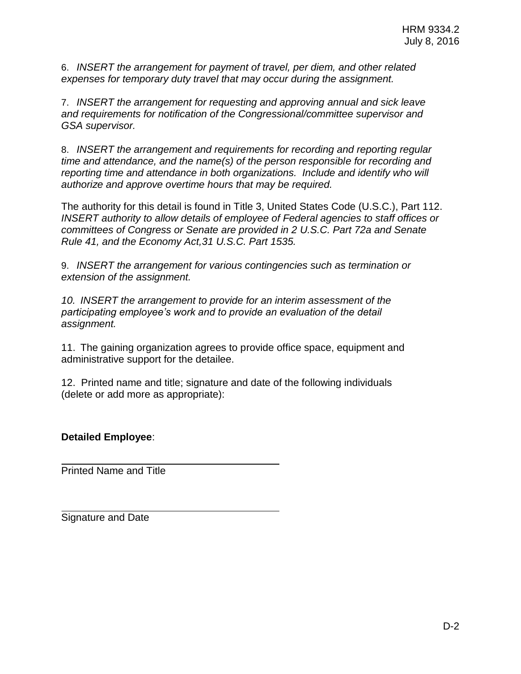6. *INSERT the arrangement for payment of travel, per diem, and other related expenses for temporary duty travel that may occur during the assignment.*

7. *INSERT the arrangement for requesting and approving annual and sick leave and requirements for notification of the Congressional/committee supervisor and GSA supervisor.*

8. *INSERT the arrangement and requirements for recording and reporting regular time and attendance, and the name(s) of the person responsible for recording and reporting time and attendance in both organizations. Include and identify who will authorize and approve overtime hours that may be required.*

The authority for this detail is found in Title 3, United States Code (U.S.C.), Part 112. *INSERT authority to allow details of employee of Federal agencies to staff offices or committees of Congress or Senate are provided in 2 U.S.C. Part 72a and Senate Rule 41, and the Economy Act,31 U.S.C. Part 1535.*

9. *INSERT the arrangement for various contingencies such as termination or extension of the assignment.*

*10. INSERT the arrangement to provide for an interim assessment of the participating employee's work and to provide an evaluation of the detail assignment.*

11. The gaining organization agrees to provide office space, equipment and administrative support for the detailee.

12. Printed name and title; signature and date of the following individuals (delete or add more as appropriate):

**Detailed Employee**:

Printed Name and Title

Signature and Date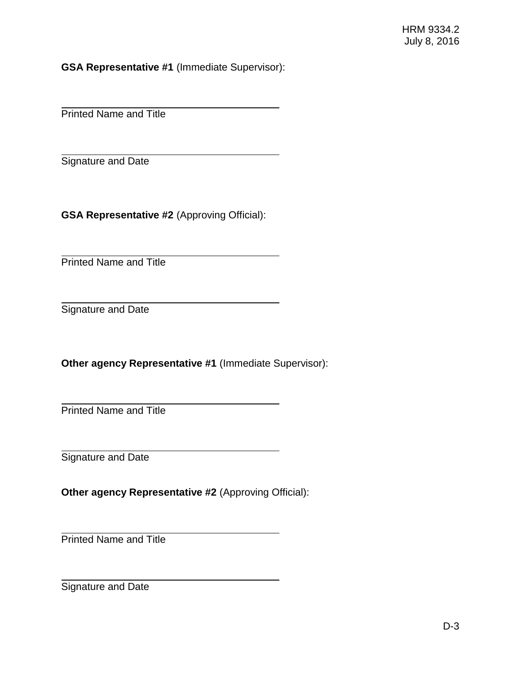**GSA Representative #1** (Immediate Supervisor):

Printed Name and Title

Signature and Date

**GSA Representative #2** (Approving Official):

Printed Name and Title

Signature and Date

**Other agency Representative #1** (Immediate Supervisor):

Printed Name and Title

Signature and Date

**Other agency Representative #2** (Approving Official):

Printed Name and Title

Signature and Date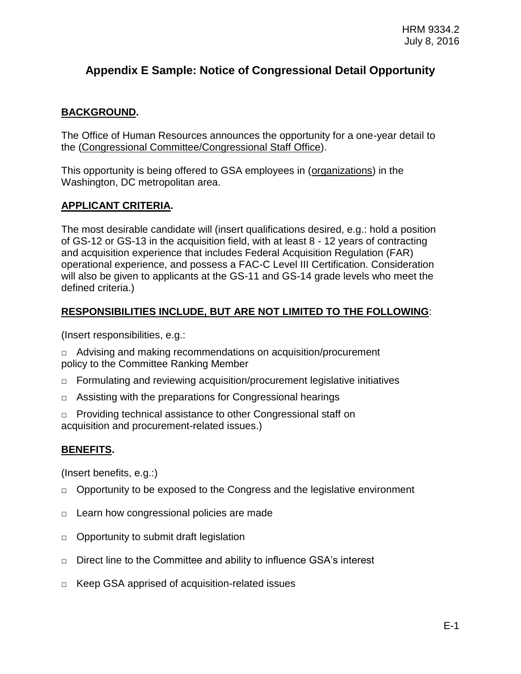# **Appendix E Sample: Notice of Congressional Detail Opportunity**

# **BACKGROUND.**

The Office of Human Resources announces the opportunity for a one-year detail to the (Congressional Committee/Congressional Staff Office).

This opportunity is being offered to GSA employees in (organizations) in the Washington, DC metropolitan area.

# **APPLICANT CRITERIA.**

The most desirable candidate will (insert qualifications desired, e.g.: hold a position of GS-12 or GS-13 in the acquisition field, with at least 8 - 12 years of contracting and acquisition experience that includes Federal Acquisition Regulation (FAR) operational experience, and possess a FAC-C Level III Certification. Consideration will also be given to applicants at the GS-11 and GS-14 grade levels who meet the defined criteria.)

### **RESPONSIBILITIES INCLUDE, BUT ARE NOT LIMITED TO THE FOLLOWING**:

(Insert responsibilities, e.g.:

 $\Box$  Advising and making recommendations on acquisition/procurement policy to the Committee Ranking Member

- $\Box$  Formulating and reviewing acquisition/procurement legislative initiatives
- $\Box$  Assisting with the preparations for Congressional hearings

□ Providing technical assistance to other Congressional staff on acquisition and procurement-related issues.)

# **BENEFITS.**

(Insert benefits, e.g.:)

- $\Box$  Opportunity to be exposed to the Congress and the legislative environment
- □ Learn how congressional policies are made
- $\Box$  Opportunity to submit draft legislation
- □ Direct line to the Committee and ability to influence GSA's interest
- □ Keep GSA apprised of acquisition-related issues